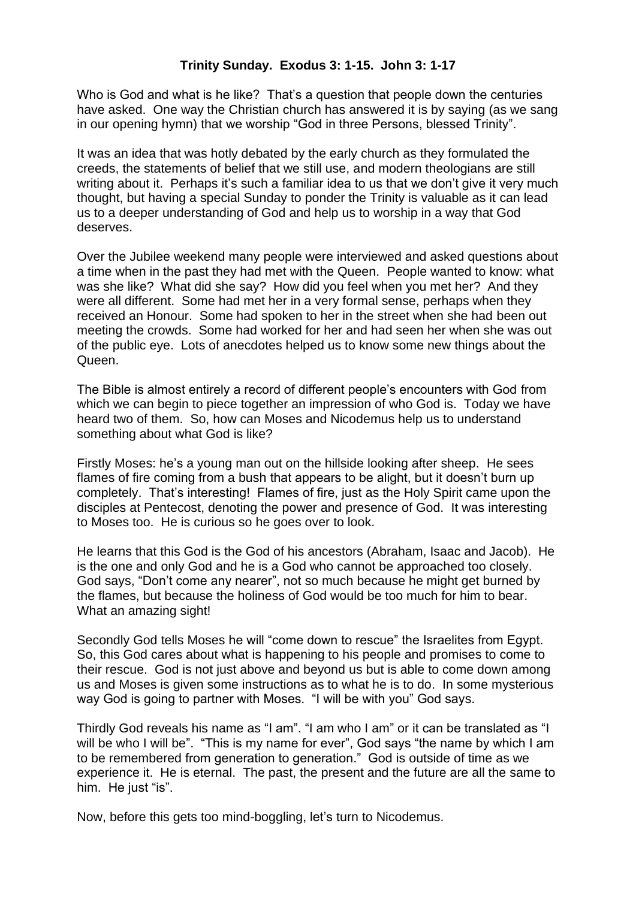Who is God and what is he like? That's a question that people down the centuries have asked. One way the Christian church has answered it is by saying (as we sang in our opening hymn) that we worship "God in three Persons, blessed Trinity".

It was an idea that was hotly debated by the early church as they formulated the creeds, the statements of belief that we still use, and modern theologians are still writing about it. Perhaps it's such a familiar idea to us that we don't give it very much thought, but having a special Sunday to ponder the Trinity is valuable as it can lead us to a deeper understanding of God and help us to worship in a way that God deserves.

Over the Jubilee weekend many people were interviewed and asked questions about a time when in the past they had met with the Queen. People wanted to know: what was she like? What did she say? How did you feel when you met her? And they were all different. Some had met her in a very formal sense, perhaps when they received an Honour. Some had spoken to her in the street when she had been out meeting the crowds. Some had worked for her and had seen her when she was out of the public eye. Lots of anecdotes helped us to know some new things about the **Queen** 

The Bible is almost entirely a record of different people's encounters with God from which we can begin to piece together an impression of who God is. Today we have heard two of them. So, how can Moses and Nicodemus help us to understand something about what God is like?

Firstly Moses: he's a young man out on the hillside looking after sheep. He sees flames of fire coming from a bush that appears to be alight, but it doesn't burn up completely. That's interesting! Flames of fire, just as the Holy Spirit came upon the disciples at Pentecost, denoting the power and presence of God. It was interesting to Moses too. He is curious so he goes over to look.

He learns that this God is the God of his ancestors (Abraham, Isaac and Jacob). He is the one and only God and he is a God who cannot be approached too closely. God says, "Don't come any nearer", not so much because he might get burned by the flames, but because the holiness of God would be too much for him to bear. What an amazing sight!

Secondly God tells Moses he will "come down to rescue" the Israelites from Egypt. So, this God cares about what is happening to his people and promises to come to their rescue. God is not just above and beyond us but is able to come down among us and Moses is given some instructions as to what he is to do. In some mysterious way God is going to partner with Moses. "I will be with you" God says.

Thirdly God reveals his name as "I am". "I am who I am" or it can be translated as "I will be who I will be". "This is my name for ever", God says "the name by which I am to be remembered from generation to generation." God is outside of time as we experience it. He is eternal. The past, the present and the future are all the same to him. He just "is".

Now, before this gets too mind-boggling, let's turn to Nicodemus.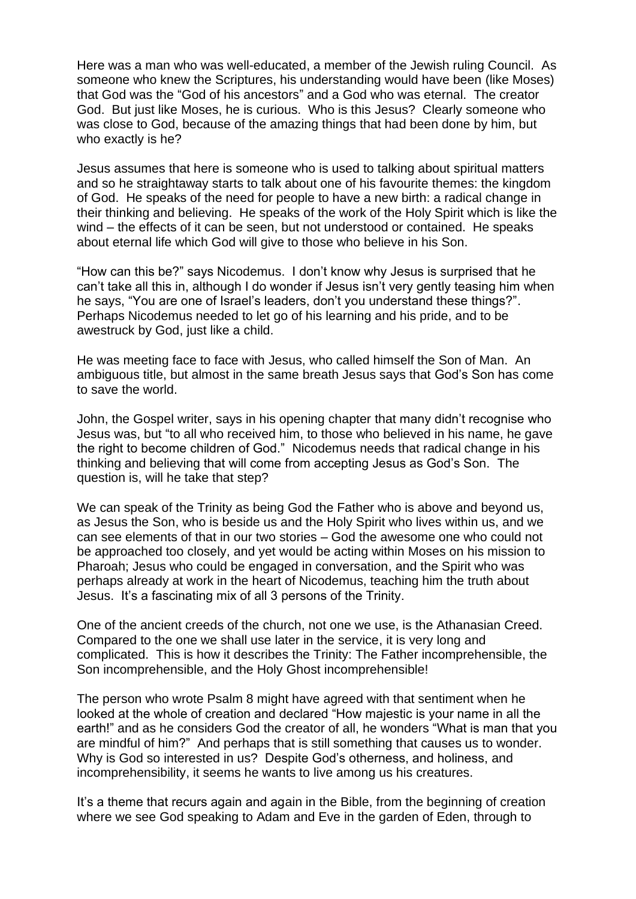Here was a man who was well-educated, a member of the Jewish ruling Council. As someone who knew the Scriptures, his understanding would have been (like Moses) that God was the "God of his ancestors" and a God who was eternal. The creator God. But just like Moses, he is curious. Who is this Jesus? Clearly someone who was close to God, because of the amazing things that had been done by him, but who exactly is he?

Jesus assumes that here is someone who is used to talking about spiritual matters and so he straightaway starts to talk about one of his favourite themes: the kingdom of God. He speaks of the need for people to have a new birth: a radical change in their thinking and believing. He speaks of the work of the Holy Spirit which is like the wind – the effects of it can be seen, but not understood or contained. He speaks about eternal life which God will give to those who believe in his Son.

"How can this be?" says Nicodemus. I don't know why Jesus is surprised that he can't take all this in, although I do wonder if Jesus isn't very gently teasing him when he says, "You are one of Israel's leaders, don't you understand these things?". Perhaps Nicodemus needed to let go of his learning and his pride, and to be awestruck by God, just like a child.

He was meeting face to face with Jesus, who called himself the Son of Man. An ambiguous title, but almost in the same breath Jesus says that God's Son has come to save the world.

John, the Gospel writer, says in his opening chapter that many didn't recognise who Jesus was, but "to all who received him, to those who believed in his name, he gave the right to become children of God." Nicodemus needs that radical change in his thinking and believing that will come from accepting Jesus as God's Son. The question is, will he take that step?

We can speak of the Trinity as being God the Father who is above and beyond us, as Jesus the Son, who is beside us and the Holy Spirit who lives within us, and we can see elements of that in our two stories – God the awesome one who could not be approached too closely, and yet would be acting within Moses on his mission to Pharoah; Jesus who could be engaged in conversation, and the Spirit who was perhaps already at work in the heart of Nicodemus, teaching him the truth about Jesus. It's a fascinating mix of all 3 persons of the Trinity.

One of the ancient creeds of the church, not one we use, is the Athanasian Creed. Compared to the one we shall use later in the service, it is very long and complicated. This is how it describes the Trinity: The Father incomprehensible, the Son incomprehensible, and the Holy Ghost incomprehensible!

The person who wrote Psalm 8 might have agreed with that sentiment when he looked at the whole of creation and declared "How majestic is your name in all the earth!" and as he considers God the creator of all, he wonders "What is man that you are mindful of him?" And perhaps that is still something that causes us to wonder. Why is God so interested in us? Despite God's otherness, and holiness, and incomprehensibility, it seems he wants to live among us his creatures.

It's a theme that recurs again and again in the Bible, from the beginning of creation where we see God speaking to Adam and Eve in the garden of Eden, through to